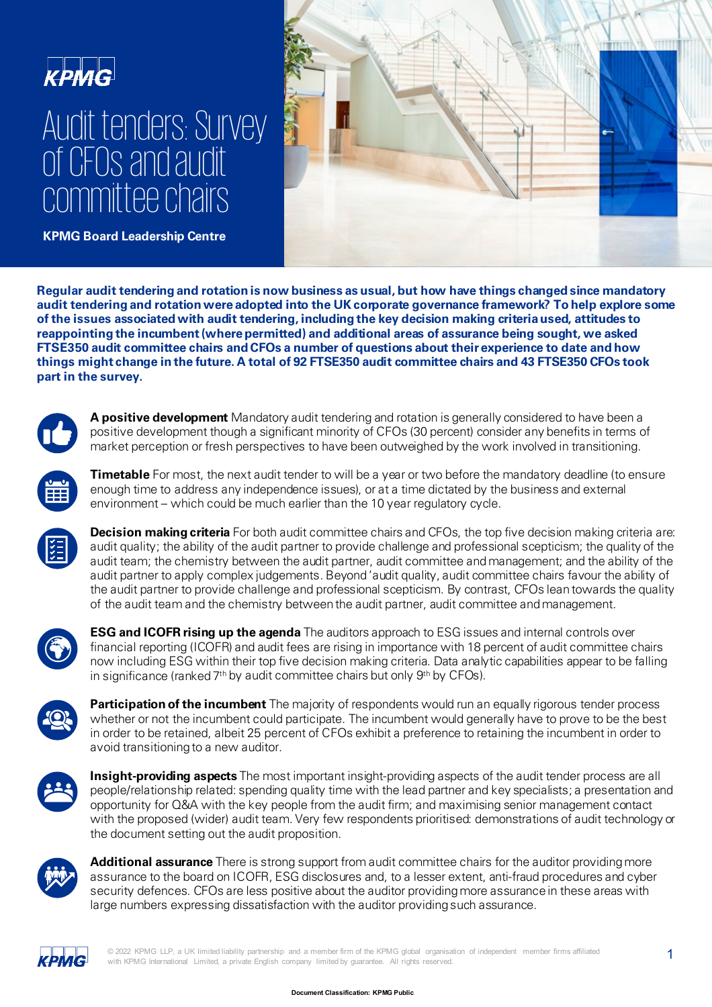

# Audit tenders: Survey of CFOs and audit committee chairs



**KPMG Board Leadership Centre**

**Regular audit tendering and rotation is now business as usual, but how have things changed since mandatory audit tendering and rotation were adopted into the UK corporate governance framework? To help explore some of the issues associated with audit tendering, including the key decision making criteria used, attitudes to reappointing the incumbent (where permitted) and additional areas of assurance being sought, we asked FTSE350 audit committee chairs and CFOs a number of questions about their experience to date and how things might change in the future. A total of 92 FTSE350 audit committee chairs and 43 FTSE350 CFOs took part in the survey.**



**A positive development** Mandatory audit tendering and rotation is generally considered to have been a positive development though a significant minority of CFOs (30 percent) consider any benefits in terms of market perception or fresh perspectives to have been outweighed by the work involved in transitioning.



**Timetable** For most, the next audit tender to will be a year or two before the mandatory deadline (to ensure enough time to address any independence issues), or at a time dictated by the business and external environment – which could be much earlier than the 10 year regulatory cycle.



**Decision making criteria** For both audit committee chairs and CFOs, the top five decision making criteria are: audit quality; the ability of the audit partner to provide challenge and professional scepticism; the quality of the audit team; the chemistry between the audit partner, audit committee and management; and the ability of the audit partner to apply complex judgements. Beyond 'audit quality, audit committee chairs favour the ability of the audit partner to provide challenge and professional scepticism. By contrast, CFOs lean towards the quality of the audit team and the chemistry between the audit partner, audit committee and management.



**ESG and ICOFR rising up the agenda** The auditors approach to ESG issues and internal controls over financial reporting (ICOFR) and audit fees are rising in importance with 18 percent of audit committee chairs now including ESG within their top five decision making criteria. Data analytic capabilities appear to be falling in significance (ranked 7<sup>th</sup> by audit committee chairs but only 9<sup>th</sup> by CFOs).



**Participation of the incumbent** The majority of respondents would run an equally rigorous tender process whether or not the incumbent could participate. The incumbent would generally have to prove to be the best in order to be retained, albeit 25 percent of CFOs exhibit a preference to retaining the incumbent in order to avoid transitioning to a new auditor.



**Insight-providing aspects** The most important insight-providing aspects of the audit tender process are all people/relationship related: spending quality time with the lead partner and key specialists; a presentation and opportunity for Q&A with the key people from the audit firm; and maximising senior management contact with the proposed (wider) audit team. Very few respondents prioritised: demonstrations of audit technology or the document setting out the audit proposition.



**Additional assurance** There is strong support from audit committee chairs for the auditor providing more assurance to the board on ICOFR, ESG disclosures and, to a lesser extent, anti-fraud procedures and cyber security defences. CFOs are less positive about the auditor providing more assurance in these areas with large numbers expressing dissatisfaction with the auditor providing such assurance.



© 2022 KPMG LLP, a UK limited liability partnership and a member firm of the KPMG global organisation of independent member firms affiliated © 2022 KPMG LLP, a UK limited liability partnership and a member firm of the KPMG global organisation of independent member firms affiliated **1**<br>with KPMG International Limited, a private English company limited by guarant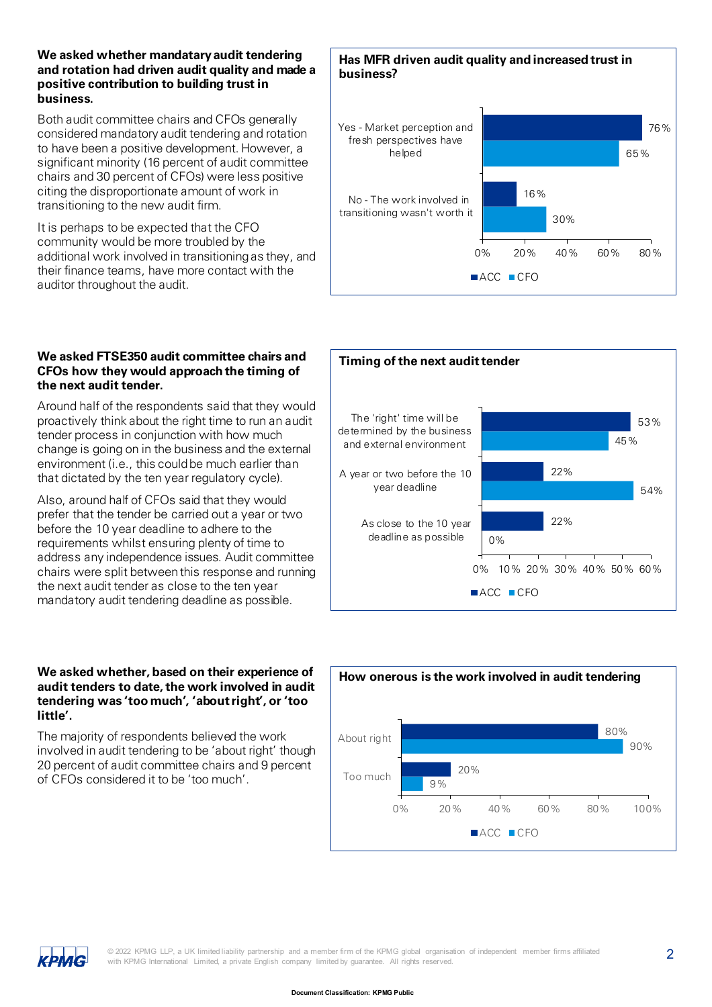#### **We asked whether mandatary audit tendering and rotation had driven audit quality and made a positive contribution to building trust in business.**

Both audit committee chairs and CFOs generally considered mandatory audit tendering and rotation to have been a positive development. However, a significant minority (16 percent of audit committee chairs and 30 percent of CFOs) were less positive citing the disproportionate amount of work in transitioning to the new audit firm.

It is perhaps to be expected that the CFO community would be more troubled by the additional work involved in transitioning as they, and their finance teams, have more contact with the auditor throughout the audit.

# **We asked FTSE350 audit committee chairs and CFOs how they would approach the timing of the next audit tender.**

Around half of the respondents said that they would proactively think about the right time to run an audit tender process in conjunction with how much change is going on in the business and the external environment (i.e., this could be much earlier than that dictated by the ten year regulatory cycle).

Also, around half of CFOs said that they would prefer that the tender be carried out a year or two before the 10 year deadline to adhere to the requirements whilst ensuring plenty of time to address any independence issues. Audit committee chairs were split between this response and running the next audit tender as close to the ten year mandatory audit tendering deadline as possible.

## **We asked whether, based on their experience of audit tenders to date, the work involved in audit tendering was 'too much', 'about right', or 'too little'.**

The majority of respondents believed the work involved in audit tendering to be 'about right' though 20 percent of audit committee chairs and 9 percent of CFOs considered it to be 'too much'.







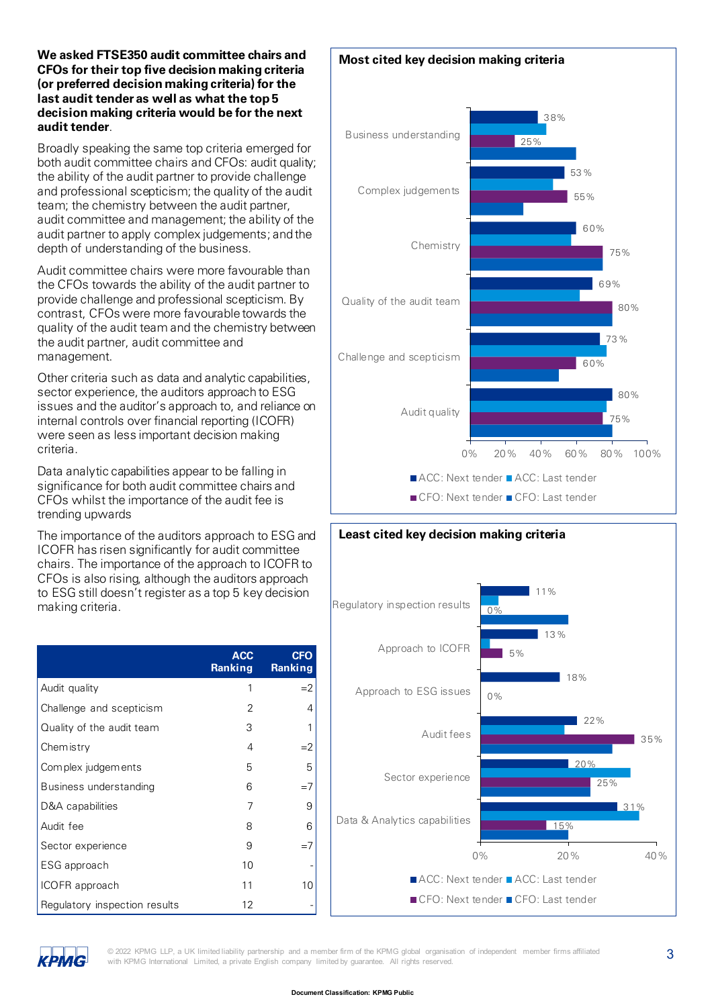#### **We asked FTSE350 audit committee chairs and CFOs for their top five decision making criteria (or preferred decision making criteria) for the last audit tender as well as what the top 5 decision making criteria would be for the next audit tender**.

Broadly speaking the same top criteria emerged for both audit committee chairs and CFOs: audit quality; the ability of the audit partner to provide challenge and professional scepticism; the quality of the audit team; the chemistry between the audit partner, audit committee and management; the ability of the audit partner to apply complex judgements; and the depth of understanding of the business.

Audit committee chairs were more favourable than the CFOs towards the ability of the audit partner to provide challenge and professional scepticism. By contrast, CFOs were more favourable towards the quality of the audit team and the chemistry between the audit partner, audit committee and management.

Other criteria such as data and analytic capabilities, sector experience, the auditors approach to ESG issues and the auditor's approach to, and reliance on internal controls over financial reporting (ICOFR) were seen as less important decision making criteria.

Data analytic capabilities appear to be falling in significance for both audit committee chairs and CFOs whilst the importance of the audit fee is trending upwards

The importance of the auditors approach to ESG and ICOFR has risen significantly for audit committee chairs. The importance of the approach to ICOFR to CFOs is also rising, although the auditors approach to ESG still doesn't register as a top 5 key decision making criteria.

|                               | <b>ACC</b><br><b>Ranking</b> | <b>CFO</b><br>Ranking |
|-------------------------------|------------------------------|-----------------------|
| Audit quality                 | 1                            | $=2$                  |
| Challenge and scepticism      | 2                            | 4                     |
| Quality of the audit team     | 3                            |                       |
| Chemistry                     | 4                            | $=2$                  |
| Complex judgements            | 5                            | 5                     |
| Business understanding        | 6                            | $=7$                  |
| D&A capabilities              | 7                            | 9                     |
| Audit fee                     | 8                            | 6                     |
| Sector experience             | 9                            | $=7$                  |
| ESG approach                  | 10                           |                       |
| ICOFR approach                | 11                           | 10                    |
| Regulatory inspection results | 12                           |                       |







© 2022 KPMG LLP, a UK limited liability partnership and a member firm of the KPMG global organisation of independent member firms affiliated with KPMG International Limited, a private English company limited by guarantee. All rights reserved.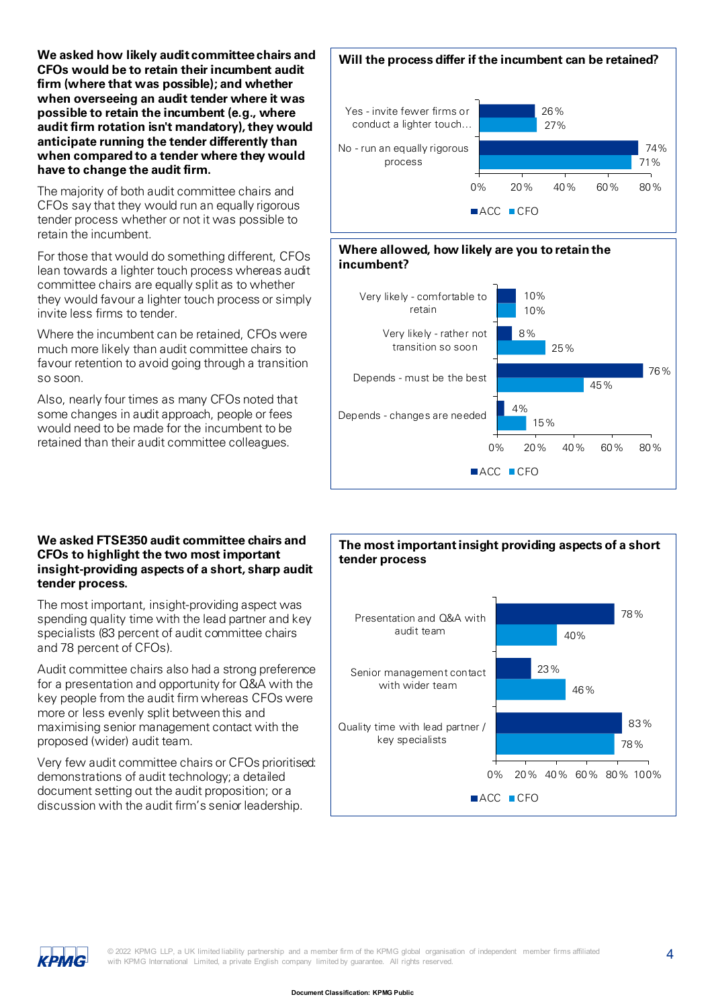**We asked how likely audit committee chairs and CFOs would be to retain their incumbent audit firm (where that was possible); and whether when overseeing an audit tender where it was possible to retain the incumbent (e.g., where audit firm rotation isn't mandatory), they would anticipate running the tender differently than when compared to a tender where they would have to change the audit firm.**

The majority of both audit committee chairs and CFOs say that they would run an equally rigorous tender process whether or not it was possible to retain the incumbent.

For those that would do something different, CFOs lean towards a lighter touch process whereas audit committee chairs are equally split as to whether they would favour a lighter touch process or simply invite less firms to tender.

Where the incumbent can be retained, CFOs were much more likely than audit committee chairs to favour retention to avoid going through a transition so soon.

Also, nearly four times as many CFOs noted that some changes in audit approach, people or fees would need to be made for the incumbent to be retained than their audit committee colleagues.

#### **We asked FTSE350 audit committee chairs and CFOs to highlight the two most important insight-providing aspects of a short, sharp audit tender process.**

The most important, insight-providing aspect was spending quality time with the lead partner and key specialists (83 percent of audit committee chairs and 78 percent of CFOs).

Audit committee chairs also had a strong preference for a presentation and opportunity for Q&A with the key people from the audit firm whereas CFOs were more or less evenly split between this and maximising senior management contact with the proposed (wider) audit team.

Very few audit committee chairs or CFOs prioritised: demonstrations of audit technology; a detailed document setting out the audit proposition; or a discussion with the audit firm's senior leadership.



# **Where allowed, how likely are you to retain the incumbent?**